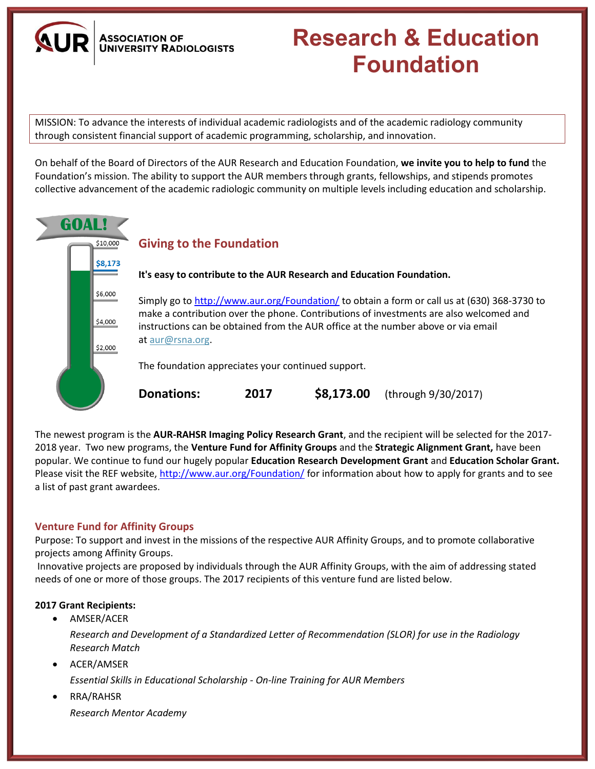**ASSOCIATION OF UNIVERSITY RADIOLOGISTS** 

# **Research & Education Foundation**

MISSION: To advance the interests of individual academic radiologists and of the academic radiology community through consistent financial support of academic programming, scholarship, and innovation.

On behalf of the Board of Directors of the AUR Research and Education Foundation, **we invite you to help to fund** the Foundation's mission. The ability to support the AUR members through grants, fellowships, and stipends promotes collective advancement of the academic radiologic community on multiple levels including education and scholarship.



The newest program is the **AUR-RAHSR Imaging Policy Research Grant**, and the recipient will be selected for the 2017- 2018 year. Two new programs, the **Venture Fund for Affinity Groups** and the **Strategic Alignment Grant,** have been popular. We continue to fund our hugely popular **Education Research Development Grant** and **Education Scholar Grant.** Please visit the REF website,<http://www.aur.org/Foundation/> for information about how to apply for grants and to see a list of past grant awardees.

# **Venture Fund for Affinity Groups**

Purpose: To support and invest in the missions of the respective AUR Affinity Groups, and to promote collaborative projects among Affinity Groups.

Innovative projects are proposed by individuals through the AUR Affinity Groups, with the aim of addressing stated needs of one or more of those groups. The 2017 recipients of this venture fund are listed below.

#### **2017 Grant Recipients:**

• AMSER/ACER

*Research and Development of a Standardized Letter of Recommendation (SLOR) for use in the Radiology Research Match*

• ACER/AMSER

*Essential Skills in Educational Scholarship - On-line Training for AUR Members*

 RRA/RAHSR *Research Mentor Academy*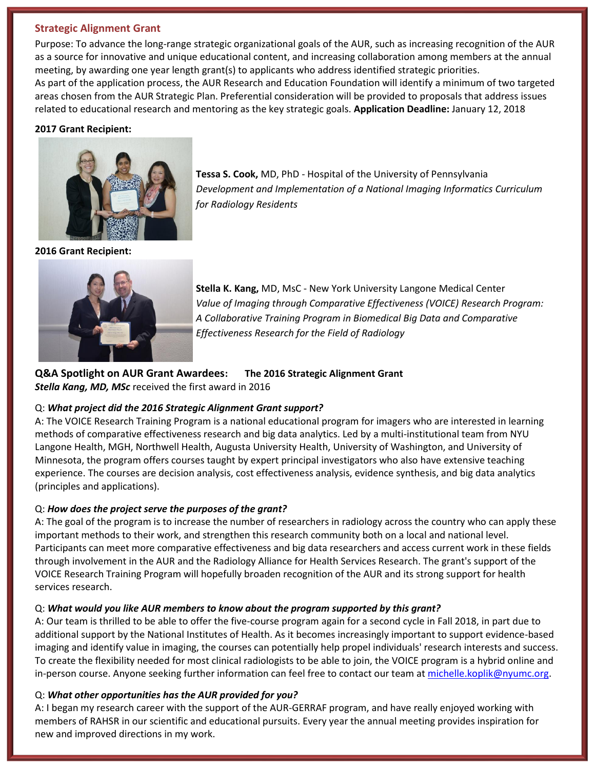#### **Strategic Alignment Grant**

Purpose: To advance the long-range strategic organizational goals of the AUR, such as increasing recognition of the AUR as a source for innovative and unique educational content, and increasing collaboration among members at the annual meeting, by awarding one year length grant(s) to applicants who address identified strategic priorities. As part of the application process, the AUR Research and Education Foundation will identify a minimum of two targeted areas chosen from the AUR Strategic Plan. Preferential consideration will be provided to proposals that address issues related to educational research and mentoring as the key strategic goals. **Application Deadline:** January 12, 2018

#### **2017 Grant Recipient:**



**Tessa S. Cook,** MD, PhD - Hospital of the University of Pennsylvania *Development and Implementation of a National Imaging Informatics Curriculum for Radiology Residents*

**2016 Grant Recipient:**



**Stella K. Kang,** MD, MsC - New York University Langone Medical Center *Value of Imaging through Comparative Effectiveness (VOICE) Research Program: A Collaborative Training Program in Biomedical Big Data and Comparative Effectiveness Research for the Field of Radiology*

# **Q&A Spotlight on AUR Grant Awardees: The 2016 Strategic Alignment Grant** *Stella Kang, MD, MSc* received the first award in 2016

# Q: *What project did the 2016 Strategic Alignment Grant support?*

A: The VOICE Research Training Program is a national educational program for imagers who are interested in learning methods of comparative effectiveness research and big data analytics. Led by a multi-institutional team from NYU Langone Health, MGH, Northwell Health, Augusta University Health, University of Washington, and University of Minnesota, the program offers courses taught by expert principal investigators who also have extensive teaching experience. The courses are decision analysis, cost effectiveness analysis, evidence synthesis, and big data analytics (principles and applications).

# Q: *How does the project serve the purposes of the grant?*

A: The goal of the program is to increase the number of researchers in radiology across the country who can apply these important methods to their work, and strengthen this research community both on a local and national level. Participants can meet more comparative effectiveness and big data researchers and access current work in these fields through involvement in the AUR and the Radiology Alliance for Health Services Research. The grant's support of the VOICE Research Training Program will hopefully broaden recognition of the AUR and its strong support for health services research.

# Q: *What would you like AUR members to know about the program supported by this grant?*

A: Our team is thrilled to be able to offer the five-course program again for a second cycle in Fall 2018, in part due to additional support by the National Institutes of Health. As it becomes increasingly important to support evidence-based imaging and identify value in imaging, the courses can potentially help propel individuals' research interests and success. To create the flexibility needed for most clinical radiologists to be able to join, the VOICE program is a hybrid online and in-person course. Anyone seeking further information can feel free to contact our team at [michelle.koplik@nyumc.org.](mailto:michelle.koplik@nyumc.org)

# Q: *What other opportunities has the AUR provided for you?*

A: I began my research career with the support of the AUR-GERRAF program, and have really enjoyed working with members of RAHSR in our scientific and educational pursuits. Every year the annual meeting provides inspiration for new and improved directions in my work.